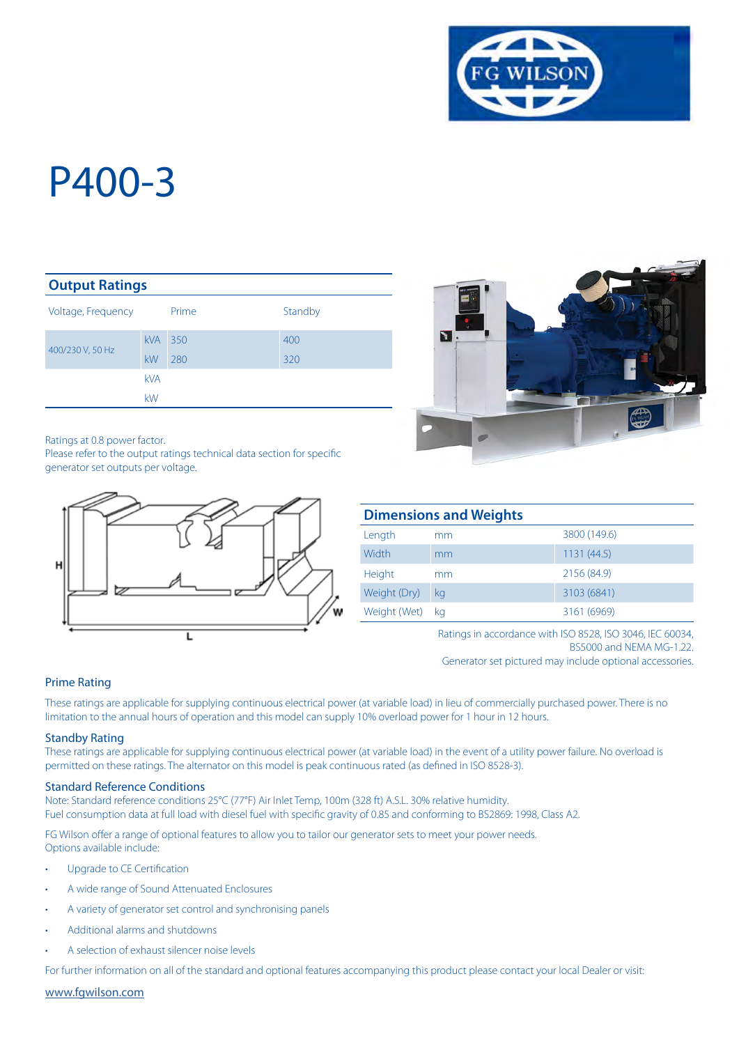

#### **Output Ratings**

| Voltage, Frequency |                  | Prime | Standby    |
|--------------------|------------------|-------|------------|
| 400/230 V, 50 Hz   | kVA 350<br>kW    | 280   | 400<br>320 |
|                    | <b>kVA</b><br>kW |       |            |

#### Ratings at 0.8 power factor.

Please refer to the output ratings technical data section for specific generator set outputs per voltage.





| <b>Dimensions and Weights</b> |    |              |  |  |
|-------------------------------|----|--------------|--|--|
| Length                        | mm | 3800 (149.6) |  |  |
| Width                         | mm | 1131(44.5)   |  |  |
| Height                        | mm | 2156 (84.9)  |  |  |
| Weight (Dry)                  | kg | 3103 (6841)  |  |  |
| Weight (Wet)                  | ka | 3161 (6969)  |  |  |

Ratings in accordance with ISO 8528, ISO 3046, IEC 60034, BS5000 and NEMA MG-1.22.

Generator set pictured may include optional accessories.

#### Prime Rating

These ratings are applicable for supplying continuous electrical power (at variable load) in lieu of commercially purchased power. There is no limitation to the annual hours of operation and this model can supply 10% overload power for 1 hour in 12 hours.

#### Standby Rating

These ratings are applicable for supplying continuous electrical power (at variable load) in the event of a utility power failure. No overload is permitted on these ratings. The alternator on this model is peak continuous rated (as defined in ISO 8528-3).

#### Standard Reference Conditions

Note: Standard reference conditions 25°C (77°F) Air Inlet Temp, 100m (328 ft) A.S.L. 30% relative humidity. Fuel consumption data at full load with diesel fuel with specific gravity of 0.85 and conforming to BS2869: 1998, Class A2.

FG Wilson offer a range of optional features to allow you to tailor our generator sets to meet your power needs. Options available include:

- Upgrade to CE Certification
- A wide range of Sound Attenuated Enclosures
- A variety of generator set control and synchronising panels
- Additional alarms and shutdowns
- A selection of exhaust silencer noise levels

For further information on all of the standard and optional features accompanying this product please contact your local Dealer or visit:

www.fgwilson.com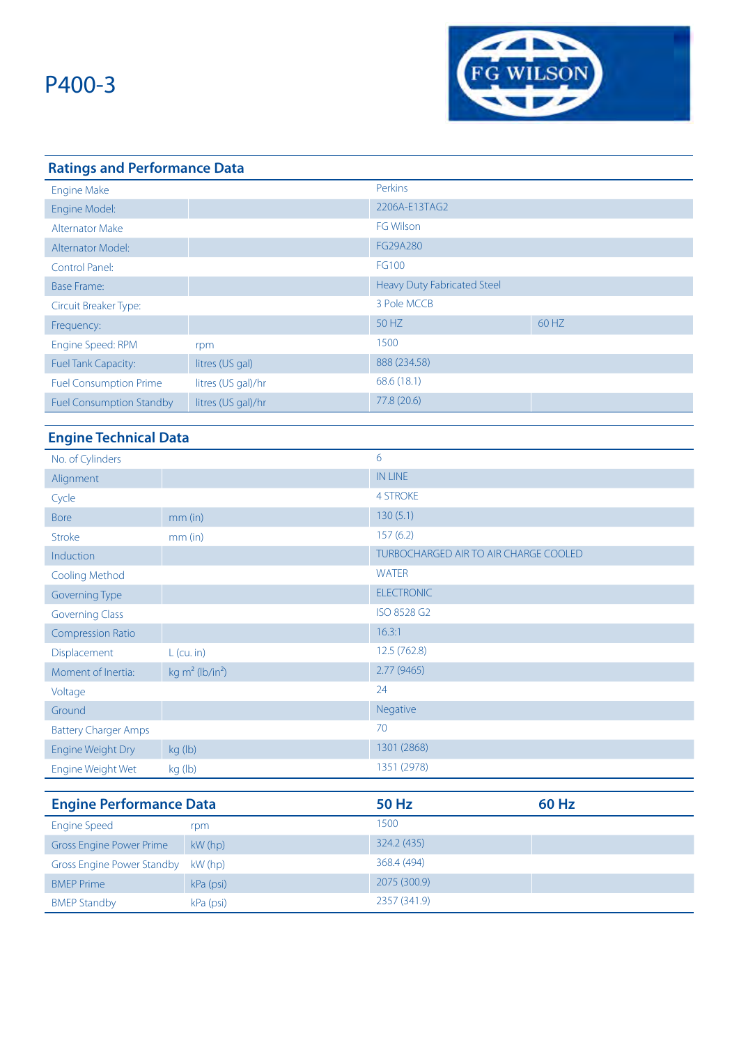

### **Ratings and Performance Data** Engine Make Perkins Engine Model: 2206A-E13TAG2 Alternator Make FG Wilson Alternator Model: FG29A280 Control Panel: FG100 Base Frame: **Heavy Duty Fabricated Steel** Circuit Breaker Type: 3 Pole MCCB Frequency: 60 HZ 60 HZ Engine Speed: RPM rpm rpm 1500 Fuel Tank Capacity: litres (US gal) 888 (234.58) Fuel Consumption Prime litres (US gal)/hr 68.6 (18.1) Fuel Consumption Standby litres (US gal)/hr 77.8 (20.6)

#### **Engine Technical Data**

| No. of Cylinders                  |                                | 6                                            |              |
|-----------------------------------|--------------------------------|----------------------------------------------|--------------|
| Alignment                         |                                | <b>IN LINE</b>                               |              |
| Cycle                             |                                | <b>4 STROKE</b>                              |              |
| <b>Bore</b>                       | $mm$ (in)                      | 130(5.1)                                     |              |
| <b>Stroke</b>                     | $mm$ (in)                      | 157(6.2)                                     |              |
| Induction                         |                                | <b>TURBOCHARGED AIR TO AIR CHARGE COOLED</b> |              |
| Cooling Method                    |                                | <b>WATER</b>                                 |              |
| <b>Governing Type</b>             |                                | <b>ELECTRONIC</b>                            |              |
| <b>Governing Class</b>            |                                | ISO 8528 G2                                  |              |
| <b>Compression Ratio</b>          |                                | 16.3:1                                       |              |
| Displacement                      | $L$ (cu. in)                   | 12.5 (762.8)                                 |              |
| Moment of Inertia:                | kg $m^2$ (lb/in <sup>2</sup> ) | 2.77 (9465)                                  |              |
| Voltage                           |                                | 24                                           |              |
| Ground                            |                                | Negative                                     |              |
| <b>Battery Charger Amps</b>       |                                | 70                                           |              |
| Engine Weight Dry                 | kg (lb)                        | 1301 (2868)                                  |              |
| Engine Weight Wet                 | kg (lb)                        | 1351 (2978)                                  |              |
|                                   |                                |                                              |              |
| <b>Engine Performance Data</b>    |                                | <b>50 Hz</b>                                 | <b>60 Hz</b> |
| <b>Engine Speed</b>               | rpm                            | 1500                                         |              |
| <b>Gross Engine Power Prime</b>   | kW (hp)                        | 324.2 (435)                                  |              |
| <b>Gross Engine Power Standby</b> | kW (hp)                        | 368.4 (494)                                  |              |
| <b>BMEP Prime</b>                 | kPa (psi)                      | 2075 (300.9)                                 |              |

BMEP Standby **kPa** (psi) **2357 (341.9)**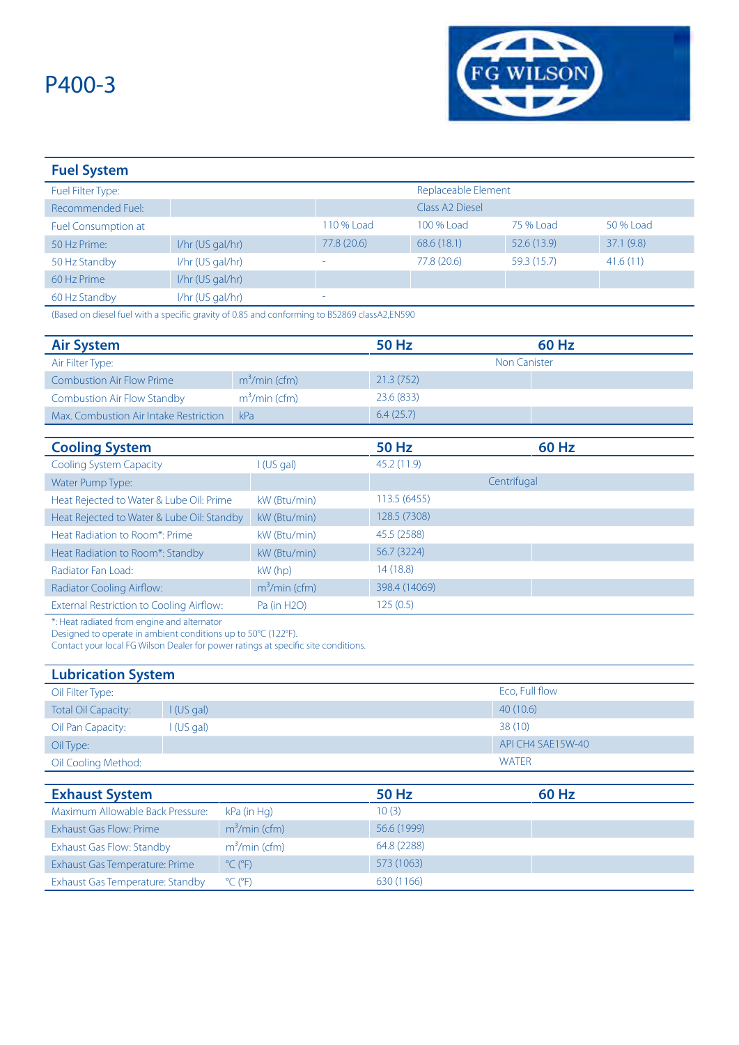

| <b>Fuel System</b>         |                    |             |                     |            |           |
|----------------------------|--------------------|-------------|---------------------|------------|-----------|
| Fuel Filter Type:          |                    |             | Replaceable Element |            |           |
| Recommended Fuel:          |                    |             | Class A2 Diesel     |            |           |
| <b>Fuel Consumption at</b> |                    | 110 % Load  | 100 % Load          | 75 % Load  | 50 % Load |
| 50 Hz Prime:               | $I/hr$ (US gal/hr) | 77.8 (20.6) | 68.6 (18.1)         | 52.6(13.9) | 37.1(9.8) |
| 50 Hz Standby              | $1/hr$ (US gal/hr) | ۰           | 77.8 (20.6)         | 59.3(15.7) | 41.6(11)  |
| 60 Hz Prime                | $I/hr$ (US gal/hr) |             |                     |            |           |
| 60 Hz Standby              | $1/hr$ (US gal/hr) | ۰           |                     |            |           |

(Based on diesel fuel with a specific gravity of 0.85 and conforming to BS2869 classA2,EN590

| <b>Air System</b>                          |                 | <b>50 Hz</b> | 60 Hz               |  |
|--------------------------------------------|-----------------|--------------|---------------------|--|
| Air Filter Type:                           |                 |              | <b>Non Canister</b> |  |
| <b>Combustion Air Flow Prime</b>           | $m3/min$ (cfm)  | 21.3(752)    |                     |  |
| <b>Combustion Air Flow Standby</b>         | $m3/min$ (cfm)  | 23.6(833)    |                     |  |
| Max. Combustion Air Intake Restriction     | kPa             | 6.4(25.7)    |                     |  |
|                                            |                 |              |                     |  |
| <b>Cooling System</b>                      |                 | <b>50 Hz</b> | <b>60 Hz</b>        |  |
| <b>Cooling System Capacity</b>             | I (US gal)      | 45.2 (11.9)  |                     |  |
| Water Pump Type:                           |                 |              | Centrifugal         |  |
| Heat Rejected to Water & Lube Oil: Prime   | kW (Btu/min)    | 113.5 (6455) |                     |  |
| Heat Rejected to Water & Lube Oil: Standby | $V_M$ (Rtu/min) | 1285 (7308)  |                     |  |

| $\lceil \log(1) \log(1) \rceil$ and $\lceil \log(1) \log(1) \log(1) \rceil$ and $\lceil \log(1) \log(1) \rceil$ |                | $- - - - - - - - - -$ |  |
|-----------------------------------------------------------------------------------------------------------------|----------------|-----------------------|--|
| Heat Radiation to Room*: Prime                                                                                  | kW (Btu/min)   | 45.5 (2588)           |  |
| Heat Radiation to Room*: Standby                                                                                | kW (Btu/min)   | 56.7 (3224)           |  |
| Radiator Fan Load:                                                                                              | $kW$ (hp)      | 14 (18.8)             |  |
| <b>Radiator Cooling Airflow:</b>                                                                                | $m3/min$ (cfm) | 398.4 (14069)         |  |
| <b>External Restriction to Cooling Airflow:</b>                                                                 | Pa (in H2O)    | 125 (0.5)             |  |

\*: Heat radiated from engine and alternator

Designed to operate in ambient conditions up to 50°C (122°F).

Contact your local FG Wilson Dealer for power ratings at specific site conditions.

| <b>Lubrication System</b>  |           |                   |  |  |
|----------------------------|-----------|-------------------|--|--|
| Oil Filter Type:           |           | Eco, Full flow    |  |  |
| <b>Total Oil Capacity:</b> | I(US gal) | 40(10.6)          |  |  |
| Oil Pan Capacity:          | I(US gal) | 38(10)            |  |  |
| Oil Type:                  |           | API CH4 SAE15W-40 |  |  |
| Oil Cooling Method:        |           | <b>WATER</b>      |  |  |

| <b>Exhaust System</b>            |                              | 50 Hz       | 60 Hz |
|----------------------------------|------------------------------|-------------|-------|
| Maximum Allowable Back Pressure: | $kPa$ (in Hq)                | 10(3)       |       |
| Exhaust Gas Flow: Prime          | $m3/min$ (cfm)               | 56.6 (1999) |       |
| Exhaust Gas Flow: Standby        | $m3/min$ (cfm)               | 64.8 (2288) |       |
| Exhaust Gas Temperature: Prime   | $^{\circ}$ C ( $^{\circ}$ F) | 573 (1063)  |       |
| Exhaust Gas Temperature: Standby | $^{\circ}$ C ( $^{\circ}$ F) | 630 (1166)  |       |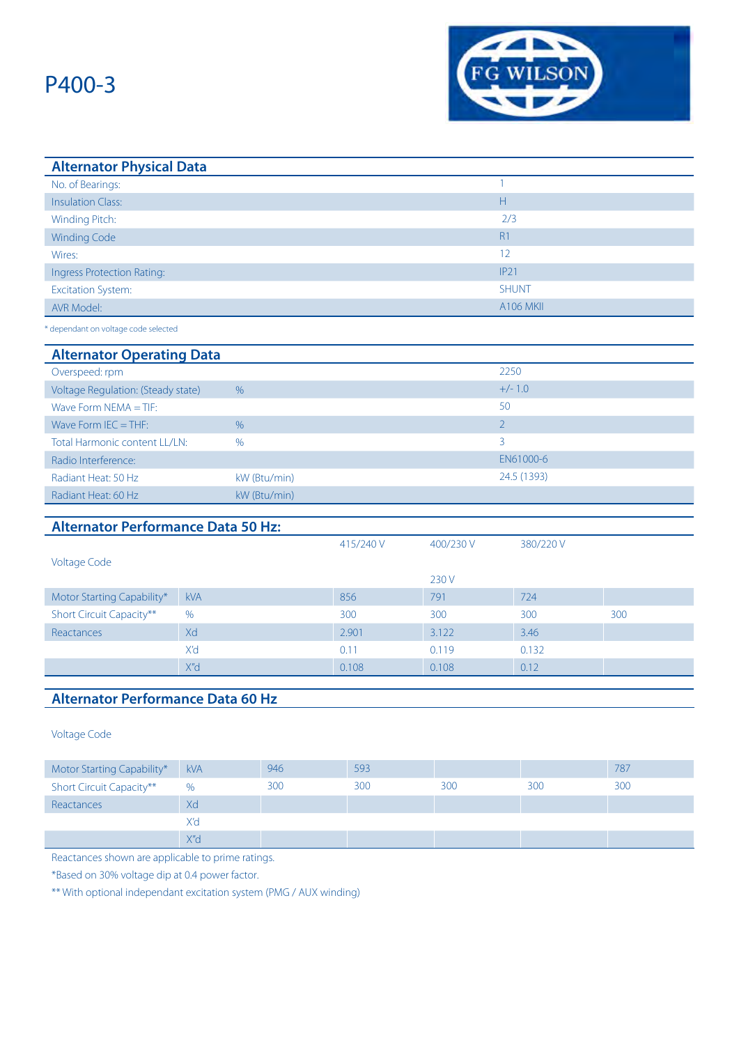

| <b>Alternator Physical Data</b> |                   |
|---------------------------------|-------------------|
| No. of Bearings:                |                   |
| <b>Insulation Class:</b>        | Н                 |
| Winding Pitch:                  | 2/3               |
| <b>Winding Code</b>             | R <sub>1</sub>    |
| Wires:                          | $12 \overline{ }$ |
| Ingress Protection Rating:      | IP21              |
| <b>Excitation System:</b>       | <b>SHUNT</b>      |
| AVR Model:                      | <b>A106 MKII</b>  |
|                                 |                   |

\* dependant on voltage code selected

#### **Alternator Operating Data**

| Overspeed: rpm                     |               | 2250        |
|------------------------------------|---------------|-------------|
| Voltage Regulation: (Steady state) | $\%$          | $+/- 1.0$   |
| Wave Form $NEMA = TIF$ :           |               | 50          |
| Wave Form $IEC = THE$ :            | $\%$          |             |
| Total Harmonic content LL/LN:      | $\frac{0}{0}$ | 3           |
| Radio Interference:                |               | EN61000-6   |
| Radiant Heat: 50 Hz                | kW (Btu/min)  | 24.5 (1393) |
| Radiant Heat: 60 Hz                | kW (Btu/min)  |             |

### **Alternator Performance Data 50 Hz:**

|                            |               | 415/240 V | 400/230 V | 380/220 V |     |
|----------------------------|---------------|-----------|-----------|-----------|-----|
| <b>Voltage Code</b>        |               |           |           |           |     |
|                            |               |           | 230 V     |           |     |
| Motor Starting Capability* | <b>kVA</b>    | 856       | 791       | 724       |     |
| Short Circuit Capacity**   | $\frac{0}{0}$ | 300       | 300       | 300       | 300 |
| Reactances                 | Xd            | 2.901     | 3.122     | 3.46      |     |
|                            | X'd           | 0.11      | 0.119     | 0.132     |     |
|                            | X"d           | 0.108     | 0.108     | 0.12      |     |

### **Alternator Performance Data 60 Hz**

Voltage Code

| Motor Starting Capability*      | <b>kVA</b> | 946 | 593 |     |     | 787 |
|---------------------------------|------------|-----|-----|-----|-----|-----|
| <b>Short Circuit Capacity**</b> | %          | 300 | 300 | 300 | 300 | 300 |
| Reactances                      | Xd         |     |     |     |     |     |
|                                 | X'd        |     |     |     |     |     |
|                                 | X"d        |     |     |     |     |     |

Reactances shown are applicable to prime ratings.

\*Based on 30% voltage dip at 0.4 power factor.

\*\* With optional independant excitation system (PMG / AUX winding)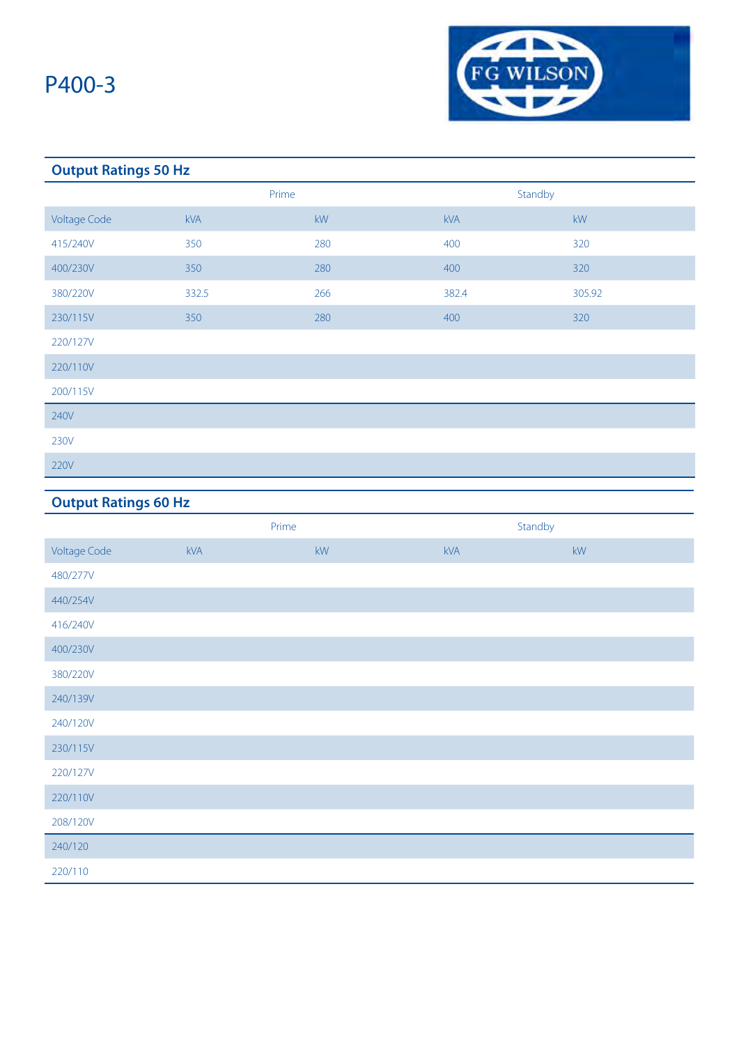

### **Output Ratings 50 Hz**

|                     | Prime      |                        | Standby    |        |
|---------------------|------------|------------------------|------------|--------|
| <b>Voltage Code</b> | <b>kVA</b> | $\mathsf{k}\mathsf{W}$ | <b>kVA</b> | kW     |
| 415/240V            | 350        | 280                    | 400        | 320    |
| 400/230V            | 350        | 280                    | 400        | 320    |
| 380/220V            | 332.5      | 266                    | 382.4      | 305.92 |
| 230/115V            | 350        | 280                    | 400        | 320    |
| 220/127V            |            |                        |            |        |
| 220/110V            |            |                        |            |        |
| 200/115V            |            |                        |            |        |
| 240V                |            |                        |            |        |
| 230V                |            |                        |            |        |
| 220V                |            |                        |            |        |

### **Output Ratings 60 Hz**

|                     | Prime |    | Standby |    |
|---------------------|-------|----|---------|----|
| <b>Voltage Code</b> | kVA   | kW | kVA     | kW |
| 480/277V            |       |    |         |    |
| 440/254V            |       |    |         |    |
| 416/240V            |       |    |         |    |
| 400/230V            |       |    |         |    |
| 380/220V            |       |    |         |    |
| 240/139V            |       |    |         |    |
| 240/120V            |       |    |         |    |
| 230/115V            |       |    |         |    |
| 220/127V            |       |    |         |    |
| 220/110V            |       |    |         |    |
| 208/120V            |       |    |         |    |
| 240/120             |       |    |         |    |
| 220/110             |       |    |         |    |